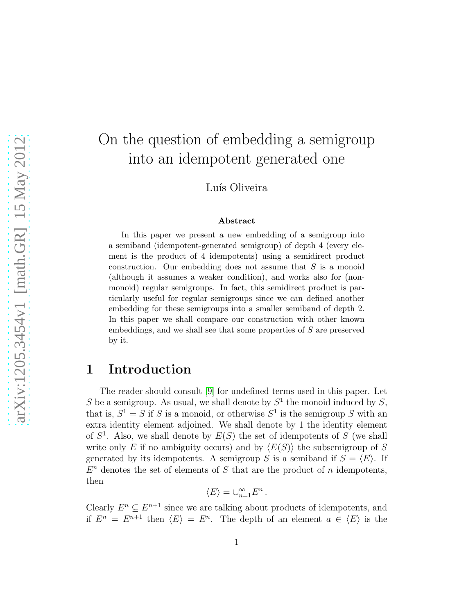# On the question of embedding a semigroup into an idempotent generated one

Luís Oliveira

#### Abstract

In this paper we present a new embedding of a semigroup into a semiband (idempotent-generated semigroup) of depth 4 (every element is the product of 4 idempotents) using a semidirect product construction. Our embedding does not assume that  $S$  is a monoid (although it assumes a weaker condition), and works also for (nonmonoid) regular semigroups. In fact, this semidirect product is particularly useful for regular semigroups since we can defined another embedding for these semigroups into a smaller semiband of depth 2. In this paper we shall compare our construction with other known embeddings, and we shall see that some properties of S are preserved by it.

### 1 Introduction

The reader should consult [\[9\]](#page-21-0) for undefined terms used in this paper. Let S be a semigroup. As usual, we shall denote by  $S^1$  the monoid induced by S, that is,  $S^1 = S$  if S is a monoid, or otherwise  $S^1$  is the semigroup S with an extra identity element adjoined. We shall denote by 1 the identity element of  $S<sup>1</sup>$ . Also, we shall denote by  $E(S)$  the set of idempotents of S (we shall write only E if no ambiguity occurs) and by  $\langle E(S) \rangle$  the subsemigroup of S generated by its idempotents. A semigroup S is a semiband if  $S = \langle E \rangle$ . If  $E<sup>n</sup>$  denotes the set of elements of S that are the product of n idempotents, then

$$
\langle E\rangle=\cup_{n=1}^\infty E^n
$$

.

Clearly  $E^n \subseteq E^{n+1}$  since we are talking about products of idempotents, and if  $E^n = E^{n+1}$  then  $\langle E \rangle = E^n$ . The depth of an element  $a \in \langle E \rangle$  is the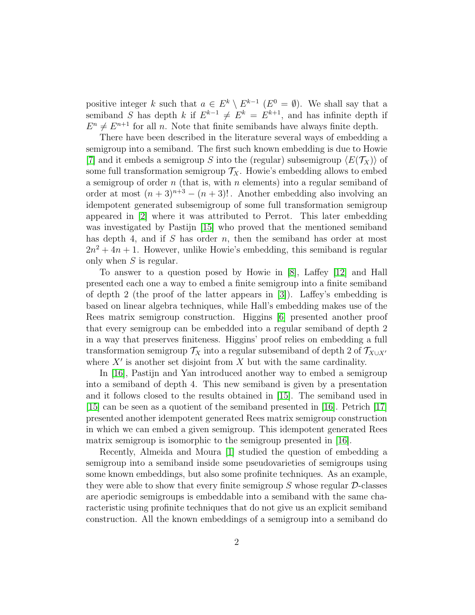positive integer k such that  $a \in E^k \setminus E^{k-1}$   $(E^0 = \emptyset)$ . We shall say that a semiband S has depth k if  $E^{k-1} \neq E^k = E^{k+1}$ , and has infinite depth if  $E^n \neq E^{n+1}$  for all n. Note that finite semibands have always finite depth.

There have been described in the literature several ways of embedding a semigroup into a semiband. The first such known embedding is due to Howie [\[7\]](#page-20-0) and it embeds a semigroup S into the (regular) subsemigroup  $\langle E(\mathcal{T}_X)\rangle$  of some full transformation semigroup  $\mathcal{T}_X$ . Howie's embedding allows to embed a semigroup of order  $n$  (that is, with  $n$  elements) into a regular semiband of order at most  $(n+3)^{n+3} - (n+3)!$ . Another embedding also involving an idempotent generated subsemigroup of some full transformation semigroup appeared in [\[2\]](#page-20-1) where it was attributed to Perrot. This later embedding was investigated by Pastijn [\[15\]](#page-21-1) who proved that the mentioned semiband has depth 4, and if  $S$  has order  $n$ , then the semiband has order at most  $2n^2 + 4n + 1$ . However, unlike Howie's embedding, this semiband is regular only when  $S$  is regular.

To answer to a question posed by Howie in [\[8\]](#page-20-2), Laffey [\[12\]](#page-21-2) and Hall presented each one a way to embed a finite semigroup into a finite semiband of depth 2 (the proof of the latter appears in [\[3\]](#page-20-3)). Laffey's embedding is based on linear algebra techniques, while Hall's embedding makes use of the Rees matrix semigroup construction. Higgins [\[6\]](#page-20-4) presented another proof that every semigroup can be embedded into a regular semiband of depth 2 in a way that preserves finiteness. Higgins' proof relies on embedding a full transformation semigroup  $\mathcal{T}_X$  into a regular subsemiband of depth 2 of  $\mathcal{T}_{X\cup X'}$ where  $X'$  is another set disjoint from  $X$  but with the same cardinality.

In [\[16\]](#page-21-3), Pastijn and Yan introduced another way to embed a semigroup into a semiband of depth 4. This new semiband is given by a presentation and it follows closed to the results obtained in [\[15\]](#page-21-1). The semiband used in [\[15\]](#page-21-1) can be seen as a quotient of the semiband presented in [\[16\]](#page-21-3). Petrich [\[17\]](#page-21-4) presented another idempotent generated Rees matrix semigroup construction in which we can embed a given semigroup. This idempotent generated Rees matrix semigroup is isomorphic to the semigroup presented in [\[16\]](#page-21-3).

Recently, Almeida and Moura [\[1\]](#page-20-5) studied the question of embedding a semigroup into a semiband inside some pseudovarieties of semigroups using some known embeddings, but also some profinite techniques. As an example, they were able to show that every finite semigroup  $S$  whose regular  $\mathcal{D}\text{-classes}$ are aperiodic semigroups is embeddable into a semiband with the same characteristic using profinite techniques that do not give us an explicit semiband construction. All the known embeddings of a semigroup into a semiband do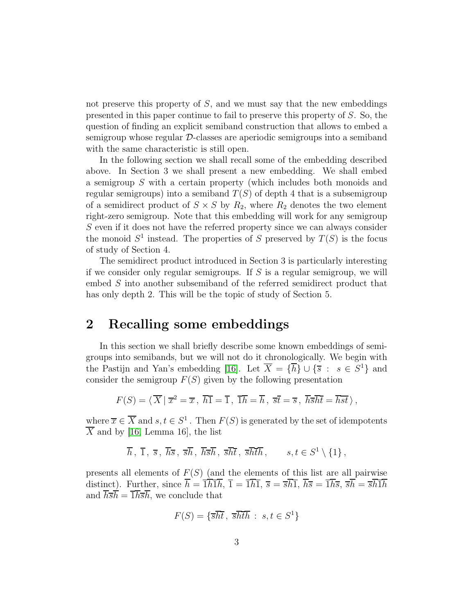not preserve this property of  $S$ , and we must say that the new embeddings presented in this paper continue to fail to preserve this property of S. So, the question of finding an explicit semiband construction that allows to embed a semigroup whose regular D-classes are aperiodic semigroups into a semiband with the same characteristic is still open.

In the following section we shall recall some of the embedding described above. In Section 3 we shall present a new embedding. We shall embed a semigroup S with a certain property (which includes both monoids and regular semigroups) into a semiband  $T(S)$  of depth 4 that is a subsemigroup of a semidirect product of  $S \times S$  by  $R_2$ , where  $R_2$  denotes the two element right-zero semigroup. Note that this embedding will work for any semigroup S even if it does not have the referred property since we can always consider the monoid  $S^1$  instead. The properties of S preserved by  $T(S)$  is the focus of study of Section 4.

The semidirect product introduced in Section 3 is particularly interesting if we consider only regular semigroups. If  $S$  is a regular semigroup, we will embed S into another subsemiband of the referred semidirect product that has only depth 2. This will be the topic of study of Section 5.

#### 2 Recalling some embeddings

In this section we shall briefly describe some known embeddings of semigroups into semibands, but we will not do it chronologically. We begin with the Pastijn and Yan's embedding [\[16\]](#page-21-3). Let  $\overline{X} = {\overline{h}} \cup {\overline{s}} : s \in S^1$  and consider the semigroup  $F(S)$  given by the following presentation

$$
F(S) = \langle \overline{X} | \overline{x}^2 = \overline{x}, \overline{h} \overline{1} = \overline{1}, \overline{1} \overline{h} = \overline{h}, \overline{s} \overline{t} = \overline{s}, \overline{h} \overline{s} \overline{h} \overline{t} = \overline{h} \overline{s} \overline{t} \rangle,
$$

where  $\overline{x} \in \overline{X}$  and  $s, t \in S^1$ . Then  $F(S)$  is generated by the set of idempotents  $\overline{X}$  and by [\[16,](#page-21-3) Lemma 16], the list

$$
\overline{h}
$$
,  $\overline{1}$ ,  $\overline{s}$ ,  $\overline{h\overline{s}}$ ,  $\overline{s\overline{h}}$ ,  $\overline{h\overline{s}\overline{h}}$ ,  $\overline{s\overline{h}\overline{t}}$ ,  $\overline{s\overline{h}\overline{t}\overline{h}}$ ,  $s, t \in S^1 \setminus \{1\}$ ,

presents all elements of  $F(S)$  (and the elements of this list are all pairwise distinct). Further, since  $\overline{h} = \overline{1}\overline{h}\overline{1}\overline{h}$ ,  $\overline{1} = \overline{1}\overline{h}\overline{1}$ ,  $\overline{s} = \overline{s}\overline{h}\overline{1}$ ,  $\overline{h}\overline{s} = \overline{1}\overline{h}\overline{s}$ ,  $\overline{s}\overline{h} = \overline{s}\overline{h}\overline{1}\overline{h}$ and  $\overline{h}\overline{s}\overline{h} = \overline{1}\overline{h}\overline{s}\overline{h}$ , we conclude that

$$
F(S) = \{ \overline{s}\overline{h}\overline{t} , \overline{s}\overline{h}\overline{t}\overline{h} : s, t \in S^1 \}
$$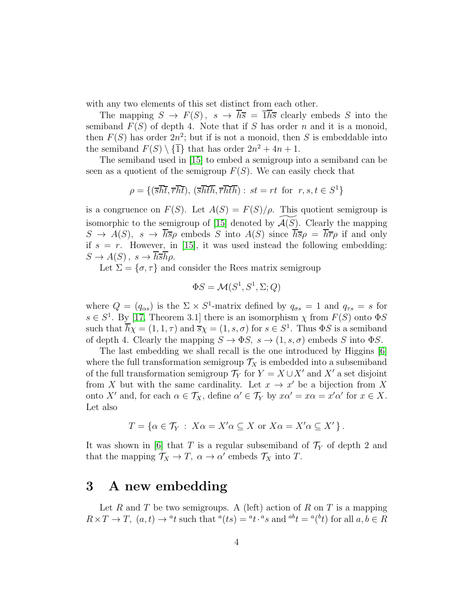with any two elements of this set distinct from each other.

The mapping  $S \to F(S)$ ,  $s \to \overline{h}\overline{s} = \overline{1}\overline{h}\overline{s}$  clearly embeds S into the semiband  $F(S)$  of depth 4. Note that if S has order n and it is a monoid, then  $F(S)$  has order  $2n^2$ ; but if is not a monoid, then S is embeddable into the semiband  $F(S) \setminus {\overline{1}}$  that has order  $2n^2 + 4n + 1$ .

The semiband used in [\[15\]](#page-21-1) to embed a semigroup into a semiband can be seen as a quotient of the semigroup  $F(S)$ . We can easily check that

$$
\rho = \{(\overline{s}\overline{ht}, \overline{r}\overline{ht}), (\overline{s}\overline{h}\overline{th}, \overline{r}\overline{h}\overline{th}) : st = rt \text{ for } r, s, t \in S^1\}
$$

is a congruence on  $F(S)$ . Let  $A(S) = F(S)/\rho$ . This quotient semigroup is isomorphic to the semigroup of [\[15\]](#page-21-1) denoted by  $\mathcal{A}(S)$ . Clearly the mapping  $S \to A(S)$ ,  $s \to \overline{h\overline{s}}\rho$  embeds S into  $A(S)$  since  $\overline{h\overline{s}}\rho = \overline{h\overline{r}}\rho$  if and only if  $s = r$ . However, in [\[15\]](#page-21-1), it was used instead the following embedding:  $S \to A(S)$ ,  $s \to h\overline{s}h\rho$ .

Let  $\Sigma = {\sigma, \tau}$  and consider the Rees matrix semigroup

$$
\Phi S = \mathcal{M}(S^1, S^1, \Sigma; Q)
$$

where  $Q = (q_{\alpha s})$  is the  $\Sigma \times S^1$ -matrix defined by  $q_{\sigma s} = 1$  and  $q_{\tau s} = s$  for  $s \in S^1$ . By [\[17,](#page-21-4) Theorem 3.1] there is an isomorphism  $\chi$  from  $F(S)$  onto  $\Phi S$ such that  $\overline{h}\chi = (1, 1, \tau)$  and  $\overline{s}\chi = (1, s, \sigma)$  for  $s \in S^1$ . Thus  $\Phi S$  is a semiband of depth 4. Clearly the mapping  $S \to \Phi S$ ,  $s \to (1, s, \sigma)$  embeds S into  $\Phi S$ .

The last embedding we shall recall is the one introduced by Higgins [\[6\]](#page-20-4) where the full transformation semigroup  $\mathcal{T}_X$  is embedded into a subsemiband of the full transformation semigroup  $\mathcal{T}_Y$  for  $Y = X \cup X'$  and  $X'$  a set disjoint from X but with the same cardinality. Let  $x \to x'$  be a bijection from X onto X' and, for each  $\alpha \in \mathcal{T}_X$ , define  $\alpha' \in \mathcal{T}_Y$  by  $x\alpha' = x\alpha = x'\alpha'$  for  $x \in X$ . Let also

$$
T = \{ \alpha \in \mathcal{T}_Y : X\alpha = X'\alpha \subseteq X \text{ or } X\alpha = X'\alpha \subseteq X' \}.
$$

It was shown in [\[6\]](#page-20-4) that T is a regular subsemiband of  $\mathcal{T}_Y$  of depth 2 and that the mapping  $\mathcal{T}_X \to T$ ,  $\alpha \to \alpha'$  embeds  $\mathcal{T}_X$  into T.

#### <span id="page-3-0"></span>3 A new embedding

Let R and T be two semigroups. A (left) action of R on T is a mapping  $R \times T \to T$ ,  $(a, t) \to {}^a t$  such that  ${}^a (ts) = {}^a t \cdot {}^a s$  and  ${}^{ab} t = {}^a ({}^b t)$  for all  $a, b \in R$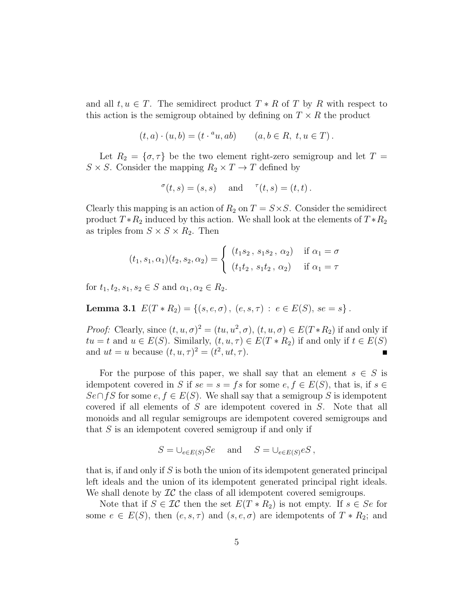and all  $t, u \in T$ . The semidirect product  $T * R$  of T by R with respect to this action is the semigroup obtained by defining on  $T \times R$  the product

$$
(t, a) \cdot (u, b) = (t \cdot {^a}u, ab) \qquad (a, b \in R, t, u \in T).
$$

Let  $R_2 = \{\sigma, \tau\}$  be the two element right-zero semigroup and let  $T =$  $S \times S.$  Consider the mapping  $R_2 \times T \to T$  defined by

$$
{}^{\sigma}(t,s) = (s,s) \quad \text{ and } \quad {}^{\tau}(t,s) = (t,t) .
$$

Clearly this mapping is an action of  $R_2$  on  $T = S \times S$ . Consider the semidirect product  $T * R_2$  induced by this action. We shall look at the elements of  $T * R_2$ as triples from  $S \times S \times R_2$ . Then

$$
(t_1, s_1, \alpha_1)(t_2, s_2, \alpha_2) = \begin{cases} (t_1 s_2, s_1 s_2, \alpha_2) & \text{if } \alpha_1 = \sigma \\ (t_1 t_2, s_1 t_2, \alpha_2) & \text{if } \alpha_1 = \tau \end{cases}
$$

<span id="page-4-0"></span>for  $t_1, t_2, s_1, s_2 \in S$  and  $\alpha_1, \alpha_2 \in R_2$ .

Lemma 3.1  $E(T * R_2) = \{(s, e, \sigma), (e, s, \tau) : e \in E(S), s e = s\}.$ 

*Proof:* Clearly, since  $(t, u, \sigma)^2 = (tu, u^2, \sigma), (t, u, \sigma) \in E(T \ast R_2)$  if and only if  $tu = t$  and  $u \in E(S)$ . Similarly,  $(t, u, \tau) \in E(T \ast R_2)$  if and only if  $t \in E(S)$ and  $ut = u$  because  $(t, u, \tau)^2 = (t^2, ut, \tau)$ .

For the purpose of this paper, we shall say that an element  $s \in S$  is idempotent covered in S if  $se = s = fs$  for some  $e, f \in E(S)$ , that is, if  $s \in$  $S\epsilon \cap fS$  for some  $\epsilon, f \in E(S)$ . We shall say that a semigroup S is idempotent covered if all elements of S are idempotent covered in S. Note that all monoids and all regular semigroups are idempotent covered semigroups and that  $S$  is an idempotent covered semigroup if and only if

$$
S = \bigcup_{e \in E(S)} Se \quad \text{and} \quad S = \bigcup_{e \in E(S)} eS,
$$

that is, if and only if  $S$  is both the union of its idempotent generated principal left ideals and the union of its idempotent generated principal right ideals. We shall denote by  $\mathcal{IC}$  the class of all idempotent covered semigroups.

Note that if  $S \in \mathcal{IC}$  then the set  $E(T \ast R_2)$  is not empty. If  $s \in Se$  for some  $e \in E(S)$ , then  $(e, s, \tau)$  and  $(s, e, \sigma)$  are idempotents of  $T * R_2$ ; and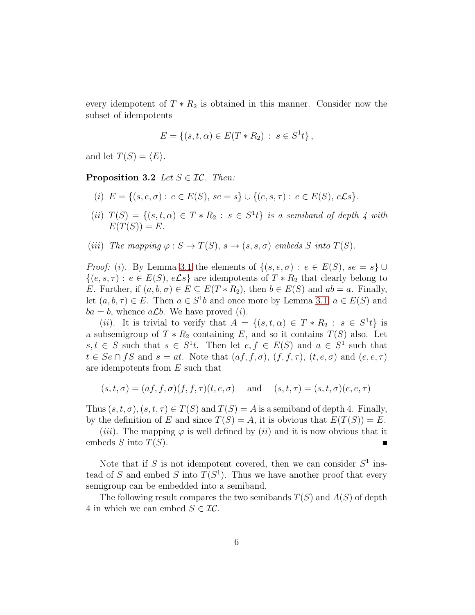every idempotent of  $T * R_2$  is obtained in this manner. Consider now the subset of idempotents

$$
E = \{(s, t, \alpha) \in E(T * R_2) : s \in S^1 t\},\
$$

and let  $T(S) = \langle E \rangle$ .

**Proposition 3.2** *Let*  $S \in \mathcal{IC}$ *. Then:* 

- (i)  $E = \{(s, e, \sigma) : e \in E(S), s e = s\} \cup \{(e, s, \tau) : e \in E(S), e \mathcal{L} s\}.$
- (*ii*)  $T(S) = \{(s, t, \alpha) \in T * R_2 : s \in S^1t\}$  *is a semiband of depth 4 with*  $E(T(S)) = E.$
- (iii) The mapping  $\varphi : S \to T(S)$ ,  $s \to (s, s, \sigma)$  embeds S into  $T(S)$ .

*Proof:* (i). By Lemma [3.1](#page-4-0) the elements of  $\{(s, e, \sigma) : e \in E(S), s e = s\}$  $\{(e, s, \tau) : e \in E(S), e\mathcal{L}s\}$  are idempotents of  $T * R_2$  that clearly belong to E. Further, if  $(a, b, \sigma) \in E \subseteq E(T \ast R_2)$ , then  $b \in E(S)$  and  $ab = a$ . Finally, let  $(a, b, \tau) \in E$ . Then  $a \in S^1b$  and once more by Lemma [3.1,](#page-4-0)  $a \in E(S)$  and  $ba = b$ , whence  $a\mathcal{L}b$ . We have proved (*i*).

(*ii*). It is trivial to verify that  $A = \{(s, t, \alpha) \in T * R_2 : s \in S^1t\}$  is a subsemigroup of  $T * R_2$  containing E, and so it contains  $T(S)$  also. Let  $s, t \in S$  such that  $s \in S^1t$ . Then let  $e, f \in E(S)$  and  $a \in S^1$  such that  $t \in Se \cap fS$  and  $s = at$ . Note that  $(af, f, \sigma)$ ,  $(f, f, \tau)$ ,  $(t, e, \sigma)$  and  $(e, e, \tau)$ are idempotents from E such that

$$
(s,t,\sigma) = (af, f, \sigma)(f, f, \tau)(t,e,\sigma)
$$
 and  $(s,t,\tau) = (s,t,\sigma)(e,e,\tau)$ 

Thus  $(s, t, \sigma)$ ,  $(s, t, \tau) \in T(S)$  and  $T(S) = A$  is a semiband of depth 4. Finally, by the definition of E and since  $T(S) = A$ , it is obvious that  $E(T(S)) = E$ .

(*iii*). The mapping  $\varphi$  is well defined by (*ii*) and it is now obvious that it embeds S into  $T(S)$ .

Note that if S is not idempotent covered, then we can consider  $S^1$  instead of S and embed S into  $T(S^1)$ . Thus we have another proof that every semigroup can be embedded into a semiband.

The following result compares the two semibands  $T(S)$  and  $A(S)$  of depth 4 in which we can embed  $S \in \mathcal{IC}$ .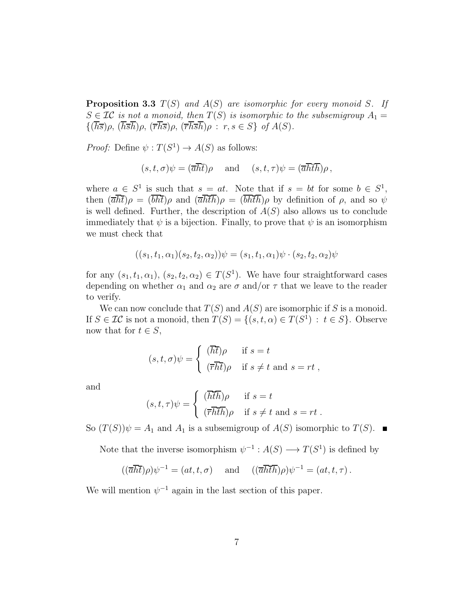Proposition 3.3 T(S) *and* A(S) *are isomorphic for every monoid* S*. If*  $S \in \mathcal{IC}$  *is not a monoid, then*  $T(S)$  *is isomorphic to the subsemigroup*  $A_1 =$  ${\{\overline{h\overline{s}}\rho,\,\overline{h\overline{s}\overline{h}}\rho,\,\overline{r\overline{h}\overline{s}\rho}\rho,\,\overline{r\overline{h}\overline{s}\overline{h}}\rho:\,r,s\in S\}}$  of  $A(S)$ *.* 

*Proof:* Define  $\psi : T(S^1) \to A(S)$  as follows:

$$
(s,t,\sigma)\psi = (\overline{a}\overline{h}\overline{t})\rho
$$
 and  $(s,t,\tau)\psi = (\overline{a}\overline{h}\overline{t}\overline{h})\rho$ ,

where  $a \in S^1$  is such that  $s = at$ . Note that if  $s = bt$  for some  $b \in S^1$ , then  $(\overline{a}\overline{h}\overline{t})\rho = (\overline{b}\overline{h}\overline{t})\rho$  and  $(\overline{a}\overline{h}\overline{t}\overline{h})\rho = (\overline{b}\overline{h}\overline{t}\overline{h})\rho$  by definition of  $\rho$ , and so  $\psi$ is well defined. Further, the description of  $A(S)$  also allows us to conclude immediately that  $\psi$  is a bijection. Finally, to prove that  $\psi$  is an isomorphism we must check that

$$
((s_1, t_1, \alpha_1)(s_2, t_2, \alpha_2))\psi = (s_1, t_1, \alpha_1)\psi \cdot (s_2, t_2, \alpha_2)\psi
$$

for any  $(s_1, t_1, \alpha_1), (s_2, t_2, \alpha_2) \in T(S^1)$ . We have four straightforward cases depending on whether  $\alpha_1$  and  $\alpha_2$  are  $\sigma$  and/or  $\tau$  that we leave to the reader to verify.

We can now conclude that  $T(S)$  and  $A(S)$  are isomorphic if S is a monoid. If  $S \in \mathcal{IC}$  is not a monoid, then  $T(S) = \{(s, t, \alpha) \in T(S^1) : t \in S\}$ . Observe now that for  $t \in S$ ,

$$
(s, t, \sigma)\psi = \begin{cases} (\overline{h}\overline{t})\rho & \text{if } s = t \\ (\overline{r}\overline{h}\overline{t})\rho & \text{if } s \neq t \text{ and } s = rt, \end{cases}
$$

and

$$
(s, t, \tau)\psi = \begin{cases} (\overline{h}\overline{t}\overline{h})\rho & \text{if } s = t \\ (\overline{r}\overline{h}\overline{t}\overline{h})\rho & \text{if } s \neq t \text{ and } s = rt. \end{cases}
$$

So  $(T(S))\psi = A_1$  and  $A_1$  is a subsemigroup of  $A(S)$  isomorphic to  $T(S)$ .

Note that the inverse isomorphism  $\psi^{-1}: A(S) \longrightarrow T(S^1)$  is defined by

$$
((\overline{a}\overline{h}\overline{t})\rho)\psi^{-1} = (at, t, \sigma) \quad \text{and} \quad ((\overline{a}\overline{h}\overline{t}\overline{h})\rho)\psi^{-1} = (at, t, \tau).
$$

We will mention  $\psi^{-1}$  again in the last section of this paper.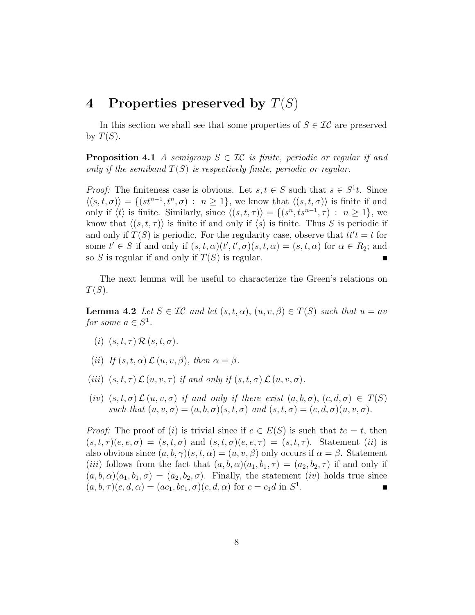#### 4 Properties preserved by  $T(S)$

<span id="page-7-1"></span>In this section we shall see that some properties of  $S \in \mathcal{IC}$  are preserved by  $T(S)$ .

**Proposition 4.1** *A semigroup*  $S \in \mathcal{IC}$  *is finite, periodic or regular if and only if the semiband* T(S) *is respectively finite, periodic or regular.*

*Proof:* The finiteness case is obvious. Let  $s, t \in S$  such that  $s \in S<sup>1</sup>t$ . Since  $\langle (s, t, \sigma) \rangle = \{ (st^{n-1}, t^n, \sigma) : n \ge 1 \},$  we know that  $\langle (s, t, \sigma) \rangle$  is finite if and only if  $\langle t \rangle$  is finite. Similarly, since  $\langle (s, t, \tau) \rangle = \{ (s^n, ts^{n-1}, \tau) : n \ge 1 \}$ , we know that  $\langle (s, t, \tau) \rangle$  is finite if and only if  $\langle s \rangle$  is finite. Thus S is periodic if and only if  $T(S)$  is periodic. For the regularity case, observe that  $tt't = t$  for some  $t' \in S$  if and only if  $(s, t, \alpha)(t', t', \sigma)(s, t, \alpha) = (s, t, \alpha)$  for  $\alpha \in R_2$ ; and so S is regular if and only if  $T(S)$  is regular.

<span id="page-7-0"></span>The next lemma will be useful to characterize the Green's relations on  $T(S)$ .

**Lemma 4.2** *Let*  $S \in \mathcal{IC}$  *and let*  $(s, t, \alpha)$ ,  $(u, v, \beta) \in T(S)$  *such that*  $u = av$ *for some*  $a \in S^1$ *.* 

- (i)  $(s, t, \tau) \mathcal{R}(s, t, \sigma)$ .
- (*ii*) *If*  $(s, t, \alpha) \mathcal{L} (u, v, \beta)$ *, then*  $\alpha = \beta$ *.*
- (iii)  $(s, t, \tau) \mathcal{L}(u, v, \tau)$  *if and only if*  $(s, t, \sigma) \mathcal{L}(u, v, \sigma)$ *.*
- (iv)  $(s, t, \sigma) \mathcal{L}(u, v, \sigma)$  *if and only if there exist*  $(a, b, \sigma)$ ,  $(c, d, \sigma) \in T(S)$ *such that*  $(u, v, \sigma) = (a, b, \sigma)(s, t, \sigma)$  *and*  $(s, t, \sigma) = (c, d, \sigma)(u, v, \sigma)$ *.*

*Proof:* The proof of (i) is trivial since if  $e \in E(S)$  is such that  $te = t$ , then  $(s, t, \tau)(e, e, \sigma) = (s, t, \sigma)$  and  $(s, t, \sigma)(e, e, \tau) = (s, t, \tau)$ . Statement *(ii)* is also obvious since  $(a, b, \gamma)(s, t, \alpha) = (u, v, \beta)$  only occurs if  $\alpha = \beta$ . Statement (*iii*) follows from the fact that  $(a, b, \alpha)(a_1, b_1, \tau) = (a_2, b_2, \tau)$  if and only if  $(a, b, \alpha)(a_1, b_1, \sigma) = (a_2, b_2, \sigma)$ . Finally, the statement *(iv)* holds true since  $(a, b, \tau)(c, d, \alpha) = (ac_1, bc_1, \sigma)(c, d, \alpha)$  for  $c = c_1 d$  in  $S^1$ .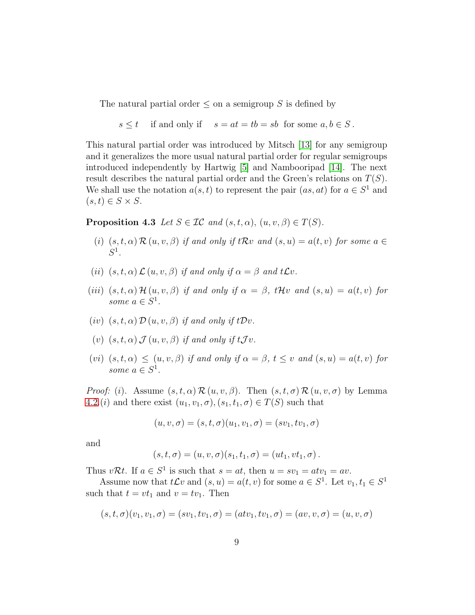The natural partial order  $\leq$  on a semigroup S is defined by

$$
s \leq t
$$
 if and only if  $s = at = tb = sb$  for some  $a, b \in S$ .

This natural partial order was introduced by Mitsch [\[13\]](#page-21-5) for any semigroup and it generalizes the more usual natural partial order for regular semigroups introduced independently by Hartwig [\[5\]](#page-20-6) and Nambooripad [\[14\]](#page-21-6). The next result describes the natural partial order and the Green's relations on  $T(S)$ . We shall use the notation  $a(s,t)$  to represent the pair  $(as, at)$  for  $a \in S^1$  and  $(s, t) \in S \times S$ .

<span id="page-8-0"></span>**Proposition 4.3** *Let*  $S \in \mathcal{IC}$  *and*  $(s, t, \alpha)$ ,  $(u, v, \beta) \in T(S)$ *.* 

- (i)  $(s, t, \alpha) \mathcal{R}(u, v, \beta)$  *if and only if*  $t \mathcal{R}v$  *and*  $(s, u) = a(t, v)$  *for some*  $a \in$ S 1 *.*
- (*ii*)  $(s, t, \alpha) \mathcal{L}(u, v, \beta)$  *if and only if*  $\alpha = \beta$  *and*  $tLv$ .
- (iii)  $(s, t, \alpha)$  H  $(u, v, \beta)$  *if and only if*  $\alpha = \beta$ *, tHv and*  $(s, u) = a(t, v)$  *for* some  $a \in S^1$ .
- (*iv*)  $(s, t, \alpha) \mathcal{D}(u, v, \beta)$  *if and only if*  $t\mathcal{D}v$ .
- (v)  $(s, t, \alpha)$   $\mathcal{J}(u, v, \beta)$  *if and only if*  $t \mathcal{J} v$ *.*
- (vi)  $(s, t, \alpha) \leq (u, v, \beta)$  *if and only if*  $\alpha = \beta$ ,  $t \leq v$  *and*  $(s, u) = a(t, v)$  *for* some  $a \in S^1$ .

*Proof:* (i). Assume  $(s, t, \alpha) \mathcal{R}(u, v, \beta)$ . Then  $(s, t, \sigma) \mathcal{R}(u, v, \sigma)$  by Lemma [4.2.](#page-7-0)(*i*) and there exist  $(u_1, v_1, \sigma), (s_1, t_1, \sigma) \in T(S)$  such that

$$
(u, v, \sigma) = (s, t, \sigma)(u_1, v_1, \sigma) = (sv_1, tv_1, \sigma)
$$

and

$$
(s, t, \sigma) = (u, v, \sigma)(s_1, t_1, \sigma) = (ut_1, vt_1, \sigma).
$$

Thus  $v\mathcal{R}t$ . If  $a \in S^1$  is such that  $s = at$ , then  $u = sv_1 = atv_1 = av$ .

Assume now that  $t\mathcal{L}v$  and  $(s, u) = a(t, v)$  for some  $a \in S^1$ . Let  $v_1, t_1 \in S^1$ such that  $t = vt_1$  and  $v = tv_1$ . Then

$$
(s, t, \sigma)(v_1, v_1, \sigma) = (sv_1, tv_1, \sigma) = (atv_1, tv_1, \sigma) = (av, v, \sigma) = (u, v, \sigma)
$$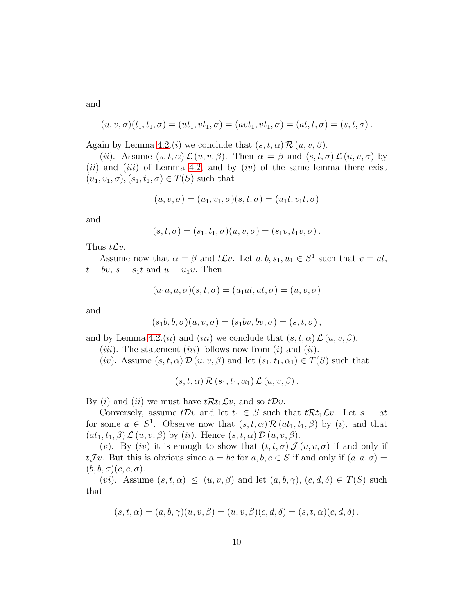and

$$
(u, v, \sigma)(t_1, t_1, \sigma) = (ut_1, vt_1, \sigma) = (avt_1, vt_1, \sigma) = (at, t, \sigma) = (s, t, \sigma).
$$

Again by Lemma [4.2.](#page-7-0)(*i*) we conclude that  $(s, t, \alpha) \mathcal{R}(u, v, \beta)$ .

(ii). Assume  $(s, t, \alpha) \mathcal{L}(u, v, \beta)$ . Then  $\alpha = \beta$  and  $(s, t, \sigma) \mathcal{L}(u, v, \sigma)$  by (*ii*) and (*iii*) of Lemma [4.2,](#page-7-0) and by (*iv*) of the same lemma there exist  $(u_1, v_1, \sigma), (s_1, t_1, \sigma) \in T(S)$  such that

$$
(u, v, \sigma) = (u_1, v_1, \sigma)(s, t, \sigma) = (u_1t, v_1t, \sigma)
$$

and

$$
(s,t,\sigma) = (s_1,t_1,\sigma)(u,v,\sigma) = (s_1v,t_1v,\sigma).
$$

Thus  $tLv$ .

Assume now that  $\alpha = \beta$  and  $tLv$ . Let  $a, b, s_1, u_1 \in S^1$  such that  $v = at$ ,  $t = bv$ ,  $s = s_1t$  and  $u = u_1v$ . Then

$$
(u_1a, a, \sigma)(s, t, \sigma) = (u_1at, at, \sigma) = (u, v, \sigma)
$$

and

$$
(s_1b, b, \sigma)(u, v, \sigma) = (s_1bv, bv, \sigma) = (s, t, \sigma),
$$

and by Lemma [4.2.](#page-7-0)(*ii*) and (*iii*) we conclude that  $(s, t, \alpha) \mathcal{L}(u, v, \beta)$ .

(*iii*). The statement (*iii*) follows now from (*i*) and (*ii*).

(iv). Assume  $(s, t, \alpha) \mathcal{D}(u, v, \beta)$  and let  $(s_1, t_1, \alpha_1) \in T(S)$  such that

$$
(s,t,\alpha) \mathcal{R}(s_1,t_1,\alpha_1) \mathcal{L}(u,v,\beta).
$$

By (*i*) and (*ii*) we must have  $t\mathcal{R}t_1\mathcal{L}v$ , and so  $t\mathcal{D}v$ .

Conversely, assume  $tDv$  and let  $t_1 \in S$  such that  $tRt_1Lv$ . Let  $s = at$ for some  $a \in S^1$ . Observe now that  $(s, t, \alpha) \mathcal{R}(at_1, t_1, \beta)$  by (*i*), and that  $(at_1, t_1, \beta) \mathcal{L}(u, v, \beta)$  by (ii). Hence  $(s, t, \alpha) \mathcal{D}(u, v, \beta)$ .

(v). By (iv) it is enough to show that  $(t, t, \sigma)$   $\mathcal{J}(v, v, \sigma)$  if and only if  $tJv$ . But this is obvious since  $a = bc$  for  $a, b, c \in S$  if and only if  $(a, a, \sigma) =$  $(b, b, \sigma)(c, c, \sigma).$ 

(*vi*). Assume  $(s, t, \alpha) \leq (u, v, \beta)$  and let  $(a, b, \gamma)$ ,  $(c, d, \delta) \in T(S)$  such that

$$
(s,t,\alpha)=(a,b,\gamma)(u,v,\beta)=(u,v,\beta)(c,d,\delta)=(s,t,\alpha)(c,d,\delta).
$$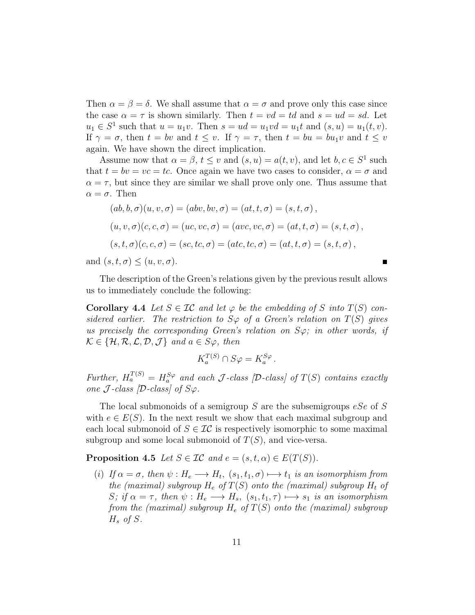Then  $\alpha = \beta = \delta$ . We shall assume that  $\alpha = \sigma$  and prove only this case since the case  $\alpha = \tau$  is shown similarly. Then  $t = v d = t d$  and  $s = u d = s d$ . Let  $u_1 \in S^1$  such that  $u = u_1v$ . Then  $s = ud = u_1vd = u_1t$  and  $(s, u) = u_1(t, v)$ . If  $\gamma = \sigma$ , then  $t = bv$  and  $t \leq v$ . If  $\gamma = \tau$ , then  $t = bu = bu_1v$  and  $t \leq v$ again. We have shown the direct implication.

Assume now that  $\alpha = \beta$ ,  $t \le v$  and  $(s, u) = a(t, v)$ , and let  $b, c \in S^1$  such that  $t = bv = vc = tc$ . Once again we have two cases to consider,  $\alpha = \sigma$  and  $\alpha = \tau$ , but since they are similar we shall prove only one. Thus assume that  $\alpha = \sigma$ . Then

$$
(ab, b, \sigma)(u, v, \sigma) = (abv, bv, \sigma) = (at, t, \sigma) = (s, t, \sigma),
$$
  

$$
(u, v, \sigma)(c, c, \sigma) = (uc, vc, \sigma) = (avc, vc, \sigma) = (at, t, \sigma) = (s, t, \sigma),
$$
  

$$
(s, t, \sigma)(c, c, \sigma) = (sc, tc, \sigma) = (at, tc, \sigma) = (at, t, \sigma) = (s, t, \sigma),
$$

and  $(s, t, \sigma) \leq (u, v, \sigma)$ .

<span id="page-10-0"></span>The description of the Green's relations given by the previous result allows us to immediately conclude the following:

**Corollary 4.4** Let  $S \in \mathcal{IC}$  and let  $\varphi$  be the embedding of S into  $T(S)$  con*sidered earlier.* The restriction to  $S\varphi$  of a Green's relation on  $T(S)$  gives *us precisely the corresponding Green's relation on*  $S\varphi$ *; in other words, if*  $\mathcal{K} \in \{H, \mathcal{R}, \mathcal{L}, \mathcal{D}, \mathcal{J}\}$  and  $a \in S_{\varphi}$ , then

$$
K_a^{T(S)} \cap S\varphi = K_a^{S\varphi} \, .
$$

Further,  $H_a^{T(S)} = H_a^{S\varphi}$  and each J-class [D-class] of  $T(S)$  contains exactly *one*  $\mathcal{J}$ *-class*  $[\mathcal{D}$ *-class* $]$  *of*  $S\varphi$ *.* 

The local submonoids of a semigroup S are the subsemigroups  $eSe$  of S with  $e \in E(S)$ . In the next result we show that each maximal subgroup and each local submonoid of  $S \in \mathcal{IC}$  is respectively isomorphic to some maximal subgroup and some local submonoid of  $T(S)$ , and vice-versa.

**Proposition 4.5** *Let*  $S \in \mathcal{IC}$  *and*  $e = (s, t, \alpha) \in E(T(S))$ *.* 

(*i*) *If*  $\alpha = \sigma$ , then  $\psi : H_e \longrightarrow H_t$ ,  $(s_1, t_1, \sigma) \longmapsto t_1$  *is an isomorphism from the (maximal) subgroup*  $H_e$  *of*  $T(S)$  *onto the (maximal) subgroup*  $H_t$  *of* S; if  $\alpha = \tau$ , then  $\psi : H_e \longrightarrow H_s$ ,  $(s_1, t_1, \tau) \longmapsto s_1$  *is an isomorphism from the (maximal) subgroup* H<sup>e</sup> *of* T(S) *onto the (maximal) subgroup*  $H_s$  of S.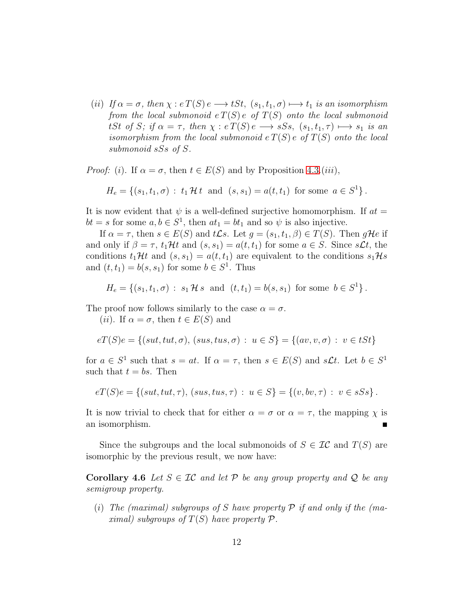(*ii*) *If*  $\alpha = \sigma$ , then  $\chi : e \cdot T(S) e \longrightarrow tSt$ ,  $(s_1, t_1, \sigma) \longmapsto t_1$  *is an isomorphism from the local submonoid*  $e T(S) e$  *of*  $T(S)$  *onto the local submonoid* tSt of S; if  $\alpha = \tau$ , then  $\chi : e \cdot T(S) e \longrightarrow sS_s$ ,  $(s_1, t_1, \tau) \longmapsto s_1$  is an *isomorphism from the local submonoid*  $e T(S) e$  *of*  $T(S)$  *onto the local submonoid* sSs *of* S*.*

*Proof:* (i). If  $\alpha = \sigma$ , then  $t \in E(S)$  and by Proposition [4.3.](#page-8-0)(iii),

$$
H_e = \{(s_1, t_1, \sigma) : t_1 \mathcal{H} t \text{ and } (s, s_1) = a(t, t_1) \text{ for some } a \in S^1\}.
$$

It is now evident that  $\psi$  is a well-defined surjective homomorphism. If  $at =$  $bt = s$  for some  $a, b \in S^1$ , then  $at_1 = bt_1$  and so  $\psi$  is also injective.

If  $\alpha = \tau$ , then  $s \in E(S)$  and  $t\mathcal{L}s$ . Let  $g = (s_1, t_1, \beta) \in T(S)$ . Then  $g\mathcal{H}e$  if and only if  $\beta = \tau$ ,  $t_1\mathcal{H}t$  and  $(s, s_1) = a(t, t_1)$  for some  $a \in S$ . Since  $s\mathcal{L}t$ , the conditions  $t_1\mathcal{H}t$  and  $(s, s_1) = a(t, t_1)$  are equivalent to the conditions  $s_1\mathcal{H}s$ and  $(t, t_1) = b(s, s_1)$  for some  $b \in S^1$ . Thus

$$
H_e = \{(s_1, t_1, \sigma) : s_1 \mathcal{H} s \text{ and } (t, t_1) = b(s, s_1) \text{ for some } b \in S^1\}.
$$

The proof now follows similarly to the case  $\alpha = \sigma$ .

(*ii*). If  $\alpha = \sigma$ , then  $t \in E(S)$  and

$$
eT(S)e = \{(sut, tut, \sigma), (sus, tus, \sigma) : u \in S\} = \{(av, v, \sigma) : v \in tSt\}
$$

for  $a \in S^1$  such that  $s = at$ . If  $\alpha = \tau$ , then  $s \in E(S)$  and  $s\mathcal{L}t$ . Let  $b \in S^1$ such that  $t = bs$ . Then

$$
eT(S)e = \{(sut, tut, \tau), (sus, tus, \tau) : u \in S\} = \{(v, bv, \tau) : v \in sSs\}.
$$

It is now trivial to check that for either  $\alpha = \sigma$  or  $\alpha = \tau$ , the mapping  $\chi$  is an isomorphism.

<span id="page-11-0"></span>Since the subgroups and the local submonoids of  $S \in \mathcal{IC}$  and  $T(S)$  are isomorphic by the previous result, we now have:

**Corollary 4.6** *Let*  $S \in \mathcal{IC}$  *and let*  $P$  *be any group property and*  $Q$  *be any semigroup property.*

(i) *The (maximal) subgroups of* S *have property* P *if and only if the (maximal)* subgroups of  $T(S)$  have property  $P$ .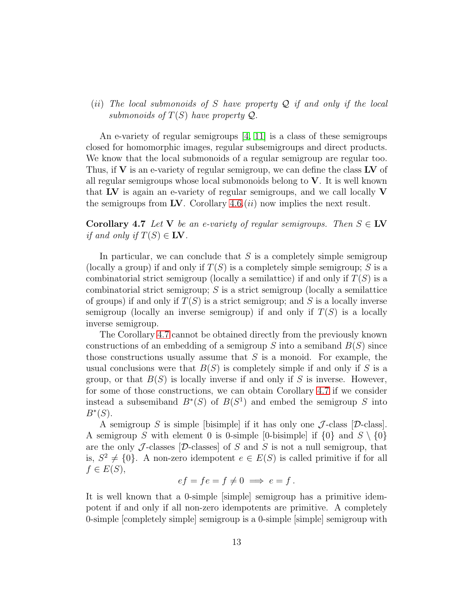(ii) *The local submonoids of* S *have property* Q *if and only if the local submonoids of*  $T(S)$  *have property*  $Q$ *.* 

An e-variety of regular semigroups [\[4,](#page-20-7) [11\]](#page-21-7) is a class of these semigroups closed for homomorphic images, regular subsemigroups and direct products. We know that the local submonoids of a regular semigroup are regular too. Thus, if  $V$  is an e-variety of regular semigroup, we can define the class  $LV$  of all regular semigroups whose local submonoids belong to  $V$ . It is well known that  $\bf{LV}$  is again an e-variety of regular semigroups, and we call locally  $\bf{V}$ the semigroups from LV. Corollary  $4.6$ . (*ii*) now implies the next result.

<span id="page-12-0"></span>Corollary 4.7 *Let* V *be an e-variety of regular semigroups. Then*  $S \in \mathbb{I}$ V *if and only if*  $T(S) \in \mathbf{LV}$ .

In particular, we can conclude that  $S$  is a completely simple semigroup (locally a group) if and only if  $T(S)$  is a completely simple semigroup; S is a combinatorial strict semigroup (locally a semilattice) if and only if  $T(S)$  is a combinatorial strict semigroup;  $S$  is a strict semigroup (locally a semilattice of groups) if and only if  $T(S)$  is a strict semigroup; and S is a locally inverse semigroup (locally an inverse semigroup) if and only if  $T(S)$  is a locally inverse semigroup.

The Corollary [4.7](#page-12-0) cannot be obtained directly from the previously known constructions of an embedding of a semigroup S into a semiband  $B(S)$  since those constructions usually assume that  $S$  is a monoid. For example, the usual conclusions were that  $B(S)$  is completely simple if and only if S is a group, or that  $B(S)$  is locally inverse if and only if S is inverse. However, for some of those constructions, we can obtain Corollary [4.7](#page-12-0) if we consider instead a subsemiband  $B^*(S)$  of  $B(S^1)$  and embed the semigroup S into  $B^*(S)$ .

A semigroup S is simple [bisimple] if it has only one  $\mathcal J$ -class [D-class]. A semigroup S with element 0 is 0-simple [0-bisimple] if  $\{0\}$  and  $S \setminus \{0\}$ are the only J-classes  $[D$ -classes of S and S is not a null semigroup, that is,  $S^2 \neq \{0\}$ . A non-zero idempotent  $e \in E(S)$  is called primitive if for all  $f \in E(S)$ ,

$$
ef = fe = f \neq 0 \implies e = f.
$$

It is well known that a 0-simple [simple] semigroup has a primitive idempotent if and only if all non-zero idempotents are primitive. A completely 0-simple [completely simple] semigroup is a 0-simple [simple] semigroup with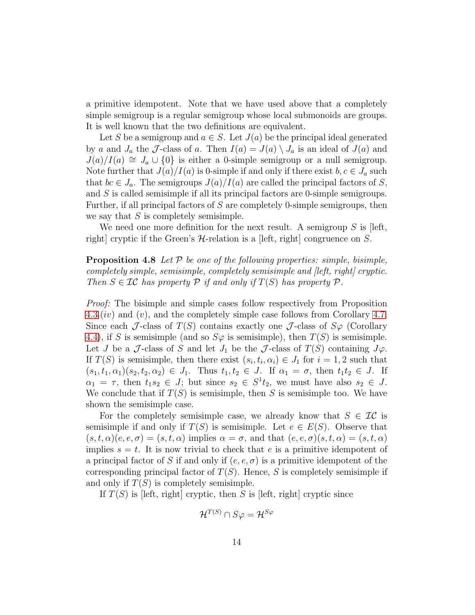a primitive idempotent. Note that we have used above that a completely simple semigroup is a regular semigroup whose local submonoids are groups. It is well known that the two definitions are equivalent.

Let S be a semigroup and  $a \in S$ . Let  $J(a)$  be the principal ideal generated by a and  $J_a$  the J-class of a. Then  $I(a) = J(a) \setminus J_a$  is an ideal of  $J(a)$  and  $J(a)/I(a) \cong J_a \cup \{0\}$  is either a 0-simple semigroup or a null semigroup. Note further that  $J(a)/I(a)$  is 0-simple if and only if there exist  $b, c \in J_a$  such that  $bc \in J_a$ . The semigroups  $J(a)/I(a)$  are called the principal factors of S, and S is called semisimple if all its principal factors are 0-simple semigroups. Further, if all principal factors of S are completely 0-simple semigroups, then we say that  $S$  is completely semisimple.

<span id="page-13-0"></span>We need one more definition for the next result. A semigroup  $S$  is [left, right] cryptic if the Green's  $H$ -relation is a [left, right] congruence on S.

#### Proposition 4.8 *Let* P *be one of the following properties: simple, bisimple, completely simple, semisimple, completely semisimple and [left, right] cryptic. Then*  $S \in \mathcal{IC}$  *has property*  $P$  *if and only if*  $T(S)$  *has property*  $P$ *.*

*Proof:* The bisimple and simple cases follow respectively from Proposition  $4.3.(iv)$  $4.3.(iv)$  and  $(v)$ , and the completely simple case follows from Corollary [4.7.](#page-12-0) Since each J-class of  $T(S)$  contains exactly one J-class of  $S\varphi$  (Corollary [4.4\)](#page-10-0), if S is semisimple (and so  $S\varphi$  is semisimple), then  $T(S)$  is semisimple. Let J be a J-class of S and let  $J_1$  be the J-class of  $T(S)$  containing  $J\varphi$ . If  $T(S)$  is semisimple, then there exist  $(s_i, t_i, \alpha_i) \in J_1$  for  $i = 1, 2$  such that  $(s_1, t_1, \alpha_1)(s_2, t_2, \alpha_2) \in J_1$ . Thus  $t_1, t_2 \in J$ . If  $\alpha_1 = \sigma$ , then  $t_1 t_2 \in J$ . If  $\alpha_1 = \tau$ , then  $t_1 s_2 \in J$ ; but since  $s_2 \in S^1 t_2$ , we must have also  $s_2 \in J$ . We conclude that if  $T(S)$  is semisimple, then S is semisimple too. We have shown the semisimple case.

For the completely semisimple case, we already know that  $S \in \mathcal{IC}$  is semisimple if and only if  $T(S)$  is semisimple. Let  $e \in E(S)$ . Observe that  $(s, t, \alpha)(e, e, \sigma) = (s, t, \alpha)$  implies  $\alpha = \sigma$ , and that  $(e, e, \sigma)(s, t, \alpha) = (s, t, \alpha)$ implies  $s = t$ . It is now trivial to check that e is a primitive idempotent of a principal factor of S if and only if  $(e, e, \sigma)$  is a primitive idempotent of the corresponding principal factor of  $T(S)$ . Hence, S is completely semisimple if and only if  $T(S)$  is completely semisimple.

If  $T(S)$  is [left, right] cryptic, then S is [left, right] cryptic since

$$
\mathcal{H}^{T(S)} \cap S\varphi = \mathcal{H}^{S\varphi}
$$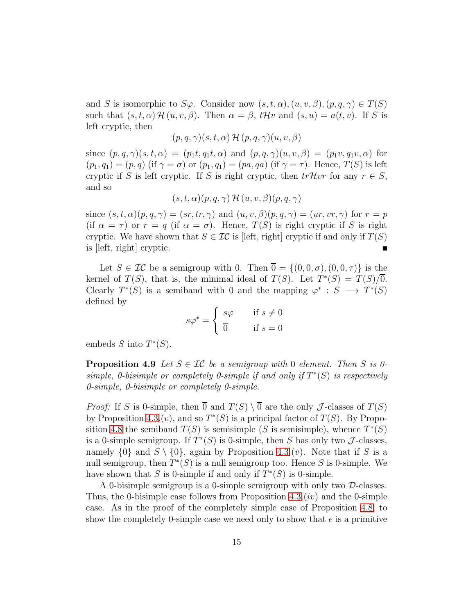and S is isomorphic to  $S\varphi$ . Consider now  $(s, t, \alpha), (u, v, \beta), (p, q, \gamma) \in T(S)$ such that  $(s, t, \alpha)$  H  $(u, v, \beta)$ . Then  $\alpha = \beta$ ,  $t$ Hv and  $(s, u) = a(t, v)$ . If S is left cryptic, then

$$
(p,q,\gamma)(s,t,\alpha) \mathcal{H}(p,q,\gamma)(u,v,\beta)
$$

since  $(p, q, \gamma)(s, t, \alpha) = (p_1t, q_1t, \alpha)$  and  $(p, q, \gamma)(u, v, \beta) = (p_1v, q_1v, \alpha)$  for  $(p_1, q_1) = (p, q)$  (if  $\gamma = \sigma$ ) or  $(p_1, q_1) = (pa, qa)$  (if  $\gamma = \tau$ ). Hence,  $T(S)$  is left cryptic if S is left cryptic. If S is right cryptic, then  $trHvr$  for any  $r \in S$ , and so

$$
(s,t,\alpha)(p,q,\gamma) \mathcal{H}(u,v,\beta)(p,q,\gamma)
$$

since  $(s, t, \alpha)(p, q, \gamma) = (sr, tr, \gamma)$  and  $(u, v, \beta)(p, q, \gamma) = (ur, vr, \gamma)$  for  $r = p$ (if  $\alpha = \tau$ ) or  $r = q$  (if  $\alpha = \sigma$ ). Hence,  $T(S)$  is right cryptic if S is right cryptic. We have shown that  $S \in \mathcal{IC}$  is [left, right] cryptic if and only if  $T(S)$ is [left, right] cryptic.

Let  $S \in \mathcal{IC}$  be a semigroup with 0. Then  $\overline{0} = \{(0,0,\sigma), (0,0,\tau)\}\$ is the kernel of  $T(S)$ , that is, the minimal ideal of  $T(S)$ . Let  $T^*(S) = T(S)/\overline{0}$ . Clearly  $T^*(S)$  is a semiband with 0 and the mapping  $\varphi^* : S \longrightarrow T^*(S)$ defined by

$$
s\varphi^* = \begin{cases} s\varphi & \text{if } s \neq 0 \\ \overline{0} & \text{if } s = 0 \end{cases}
$$

<span id="page-14-0"></span>embeds  $S$  into  $T^*(S)$ .

**Proposition 4.9** Let  $S \in \mathcal{IC}$  be a semigroup with 0 element. Then S is 0simple, 0-bisimple or completely 0-simple if and only if  $T^*(S)$  is respectively *0-simple, 0-bisimple or completely 0-simple.*

*Proof:* If S is 0-simple, then  $\overline{0}$  and  $T(S) \setminus \overline{0}$  are the only J-classes of  $T(S)$ by Proposition [4.3.](#page-8-0) $(v)$ , and so  $T^*(S)$  is a principal factor of  $T(S)$ . By Propo-sition [4.8](#page-13-0) the semiband  $T(S)$  is semisimple (S is semisimple), whence  $T^*(S)$ is a 0-simple semigroup. If  $T^*(S)$  is 0-simple, then S has only two J-classes, namely  $\{0\}$  and  $S \setminus \{0\}$ , again by Proposition [4.3.](#page-8-0)(v). Note that if S is a null semigroup, then  $T^*(S)$  is a null semigroup too. Hence S is 0-simple. We have shown that S is 0-simple if and only if  $T^*(S)$  is 0-simple.

A 0-bisimple semigroup is a 0-simple semigroup with only two D-classes. Thus, the 0-bisimple case follows from Proposition  $4.3.(iv)$  and the 0-simple case. As in the proof of the completely simple case of Proposition [4.8,](#page-13-0) to show the completely 0-simple case we need only to show that  $e$  is a primitive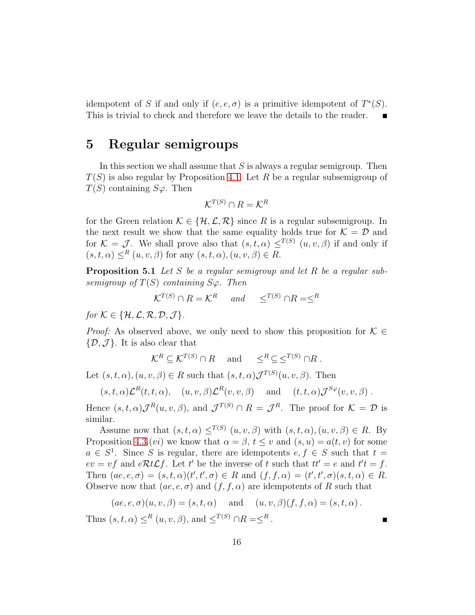idempotent of S if and only if  $(e, e, \sigma)$  is a primitive idempotent of  $T^*(S)$ . This is trivial to check and therefore we leave the details to the reader.

#### 5 Regular semigroups

In this section we shall assume that  $S$  is always a regular semigroup. Then  $T(S)$  is also regular by Proposition [4.1.](#page-7-1) Let R be a regular subsemigroup of  $T(S)$  containing  $S\varphi$ . Then

$$
\mathcal{K}^{T(S)} \cap R = \mathcal{K}^R
$$

for the Green relation  $\mathcal{K} \in \{H, \mathcal{L}, \mathcal{R}\}\$  since R is a regular subsemigroup. In the next result we show that the same equality holds true for  $\mathcal{K} = \mathcal{D}$  and for  $\mathcal{K} = \mathcal{J}$ . We shall prove also that  $(s, t, \alpha) \leq^{T(S)} (u, v, \beta)$  if and only if  $(s, t, \alpha) \leq^R (u, v, \beta)$  for any  $(s, t, \alpha), (u, v, \beta) \in R$ .

<span id="page-15-0"></span>Proposition 5.1 *Let* S *be a regular semigroup and let* R *be a regular subsemigroup of*  $T(S)$  *containing*  $S\varphi$ *. Then* 

$$
\mathcal{K}^{T(S)} \cap R = \mathcal{K}^R \quad \text{and} \quad \leq^{T(S)} \cap R = \leq^R
$$

*for*  $K \in \{H, \mathcal{L}, \mathcal{R}, \mathcal{D}, \mathcal{J}\}.$ 

*Proof:* As observed above, we only need to show this proposition for  $K \in$  $\{\mathcal{D}, \mathcal{J}\}\$ . It is also clear that

$$
\mathcal{K}^R \subseteq \mathcal{K}^{T(S)} \cap R
$$
 and  $\leq^R \subseteq \leq^{T(S)} \cap R$ .

Let  $(s, t, \alpha), (u, v, \beta) \in R$  such that  $(s, t, \alpha) \mathcal{J}^{T(S)}(u, v, \beta)$ . Then

$$
(s,t,\alpha)\mathcal{L}^R(t,t,\alpha), \quad (u,v,\beta)\mathcal{L}^R(v,v,\beta) \quad \text{and} \quad (t,t,\alpha)\mathcal{J}^{S\varphi}(v,v,\beta) .
$$

Hence  $(s, t, \alpha) \mathcal{J}^R(u, v, \beta)$ , and  $\mathcal{J}^{T(S)} \cap R = \mathcal{J}^R$ . The proof for  $\mathcal{K} = \mathcal{D}$  is similar.

Assume now that  $(s, t, \alpha) \leq^{T(S)} (u, v, \beta)$  with  $(s, t, \alpha), (u, v, \beta) \in R$ . By Proposition [4.3.](#page-8-0)(*vi*) we know that  $\alpha = \beta$ ,  $t \le v$  and  $(s, u) = a(t, v)$  for some  $a \in S^1$ . Since S is regular, there are idempotents  $e, f \in S$  such that  $t =$  $ev = vf$  and  $eRtLf$ . Let t' be the inverse of t such that  $tt' = e$  and  $t't = f$ . Then  $(ae, e, \sigma) = (s, t, \alpha)(t', t', \sigma) \in R$  and  $(f, f, \alpha) = (t', t', \sigma)(s, t, \alpha) \in R$ . Observe now that  $(ae, e, \sigma)$  and  $(f, f, \alpha)$  are idempotents of R such that

$$
(ae, e, \sigma)(u, v, \beta) = (s, t, \alpha)
$$
 and  $(u, v, \beta)(f, f, \alpha) = (s, t, \alpha)$ .

Thus  $(s, t, \alpha) \leq^R (u, v, \beta)$ , and  $\leq^{T(S)} \cap R = \leq^R$ .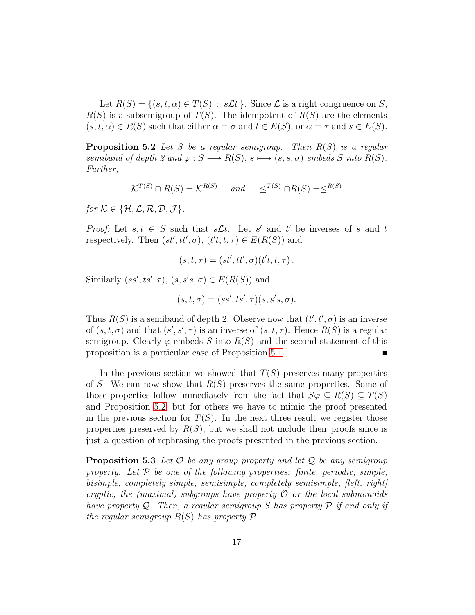Let  $R(S) = \{(s, t, \alpha) \in T(S) : s\mathcal{L}t\}$ . Since  $\mathcal L$  is a right congruence on S,  $R(S)$  is a subsemigroup of  $T(S)$ . The idempotent of  $R(S)$  are the elements  $(s, t, \alpha) \in R(S)$  such that either  $\alpha = \sigma$  and  $t \in E(S)$ , or  $\alpha = \tau$  and  $s \in E(S)$ .

<span id="page-16-0"></span>Proposition 5.2 *Let* S *be a regular semigroup. Then* R(S) *is a regular semiband of depth 2 and*  $\varphi : S \longrightarrow R(S), s \longmapsto (s, s, \sigma)$  *embeds* S *into*  $R(S)$ *. Further,*

$$
\mathcal{K}^{T(S)} \cap R(S) = \mathcal{K}^{R(S)} \quad \text{and} \quad \leq^{T(S)} \cap R(S) = \leq^{R(S)}
$$

*for*  $K \in \{H, \mathcal{L}, \mathcal{R}, \mathcal{D}, \mathcal{J}\}.$ 

*Proof:* Let  $s, t \in S$  such that  $s\mathcal{L}t$ . Let  $s'$  and  $t'$  be inverses of s and t respectively. Then  $(st', tt', \sigma)$ ,  $(t't, t, \tau) \in E(R(S))$  and

$$
(s,t,\tau)=(st',tt',\sigma)(t't,t,\tau).
$$

Similarly  $(ss', ts', \tau)$ ,  $(s, s's, \sigma) \in E(R(S))$  and

$$
(s, t, \sigma) = (ss', ts', \tau)(s, s's, \sigma).
$$

Thus  $R(S)$  is a semiband of depth 2. Observe now that  $(t', t', \sigma)$  is an inverse of  $(s, t, \sigma)$  and that  $(s', s', \tau)$  is an inverse of  $(s, t, \tau)$ . Hence  $R(S)$  is a regular semigroup. Clearly  $\varphi$  embeds S into  $R(S)$  and the second statement of this proposition is a particular case of Proposition [5.1.](#page-15-0)

In the previous section we showed that  $T(S)$  preserves many properties of S. We can now show that  $R(S)$  preserves the same properties. Some of those properties follow immediately from the fact that  $S\varphi \subseteq R(S) \subseteq T(S)$ and Proposition [5.2,](#page-16-0) but for others we have to mimic the proof presented in the previous section for  $T(S)$ . In the next three result we register those properties preserved by  $R(S)$ , but we shall not include their proofs since is just a question of rephrasing the proofs presented in the previous section.

Proposition 5.3 *Let* O *be any group property and let* Q *be any semigroup property. Let* P *be one of the following properties: finite, periodic, simple, bisimple, completely simple, semisimple, completely semisimple, [left, right] cryptic, the (maximal) subgroups have property* O *or the local submonoids have property* Q*. Then, a regular semigroup* S *has property* P *if and only if the regular semigroup*  $R(S)$  *has property*  $P$ *.*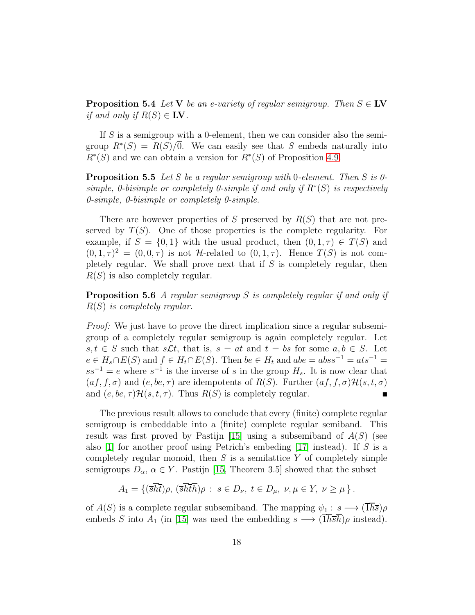**Proposition 5.4** *Let*  $V$  *be an e-variety of regular semigroup. Then*  $S \in \mathbf{LV}$ *if and only if*  $R(S) \in \mathbb{I}$ **V**.

If S is a semigroup with a 0-element, then we can consider also the semigroup  $R^*(S) = R(S)/\overline{0}$ . We can easily see that S embeds naturally into  $R^*(S)$  and we can obtain a version for  $R^*(S)$  of Proposition [4.9.](#page-14-0)

Proposition 5.5 *Let* S *be a regular semigroup with* 0*-element. Then* S *is 0 simple, 0-bisimple or completely 0-simple if and only if*  $R<sup>*</sup>(S)$  *is respectively 0-simple, 0-bisimple or completely 0-simple.*

There are however properties of S preserved by  $R(S)$  that are not preserved by  $T(S)$ . One of those properties is the complete regularity. For example, if  $S = \{0, 1\}$  with the usual product, then  $(0, 1, \tau) \in T(S)$  and  $(0, 1, \tau)^2 = (0, 0, \tau)$  is not H-related to  $(0, 1, \tau)$ . Hence  $T(S)$  is not completely regular. We shall prove next that if  $S$  is completely regular, then  $R(S)$  is also completely regular.

Proposition 5.6 *A regular semigroup* S *is completely regular if and only if* R(S) *is completely regular.*

*Proof:* We just have to prove the direct implication since a regular subsemigroup of a completely regular semigroup is again completely regular. Let  $s, t \in S$  such that  $s\mathcal{L}t$ , that is,  $s = at$  and  $t = bs$  for some  $a, b \in S$ . Let  $e \in H_s \cap E(S)$  and  $f \in H_t \cap E(S)$ . Then  $be \in H_t$  and  $abe = abss^{-1} = ats^{-1}$  $ss^{-1} = e$  where  $s^{-1}$  is the inverse of s in the group  $H_s$ . It is now clear that  $(af, f, \sigma)$  and  $(e, be, \tau)$  are idempotents of  $R(S)$ . Further  $(af, f, \sigma) \mathcal{H}(s, t, \sigma)$ <br>and  $(e, be, \tau) \mathcal{H}(s, t, \tau)$ . Thus  $R(S)$  is completely regular. and  $(e, be, \tau) \mathcal{H}(s, t, \tau)$ . Thus  $R(S)$  is completely regular.

The previous result allows to conclude that every (finite) complete regular semigroup is embeddable into a (finite) complete regular semiband. This result was first proved by Pastijn [\[15\]](#page-21-1) using a subsemiband of  $A(S)$  (see also [\[1\]](#page-20-5) for another proof using Petrich's embeding [\[17\]](#page-21-4) instead). If S is a completely regular monoid, then  $S$  is a semilattice  $Y$  of completely simple semigroups  $D_{\alpha}$ ,  $\alpha \in Y$ . Pastijn [\[15,](#page-21-1) Theorem 3.5] showed that the subset

$$
A_1 = \{ (\overline{sht})\rho, (\overline{shth})\rho : s \in D_{\nu}, t \in D_{\mu}, \nu, \mu \in Y, \nu \ge \mu \}.
$$

of  $A(S)$  is a complete regular subsemiband. The mapping  $\psi_1: s \longrightarrow (\overline{1h\overline{s}})\rho$ embeds S into A<sub>1</sub> (in [\[15\]](#page-21-1) was used the embedding  $s \longrightarrow (\overline{1}\overline{h}\overline{s}\overline{h})\rho$  instead).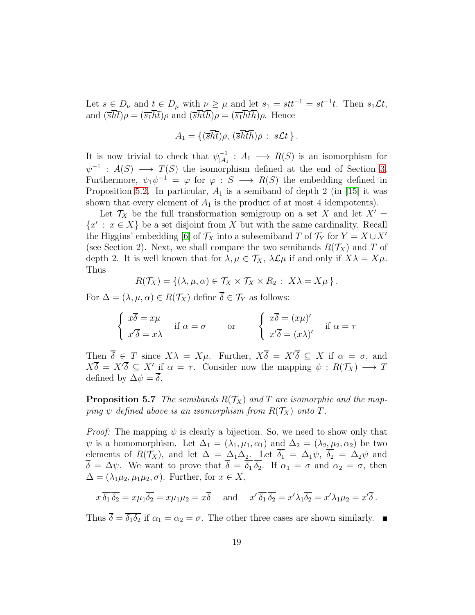Let  $s \in D_{\nu}$  and  $t \in D_{\mu}$  with  $\nu \geq \mu$  and let  $s_1 = st^{-1} = st^{-1}t$ . Then  $s_1 \mathcal{L} t$ , and  $(\overline{s}\overline{h}\overline{t})\rho = (\overline{s_1}\overline{h}\overline{t})\rho$  and  $(\overline{s}\overline{h}\overline{t}\overline{h})\rho = (\overline{s_1}\overline{h}\overline{t}\overline{h})\rho$ . Hence

$$
A_1 = \{(\overline{s}\overline{h}\overline{t})\rho, (\overline{s}\overline{h}\overline{t}\overline{h})\rho : s\mathcal{L}t\}.
$$

It is now trivial to check that  $\psi_{A_1}^{-1}$  $\bigcap_{|A_1}^{-1}: A_1 \longrightarrow R(S)$  is an isomorphism for  $\psi^{-1}$ :  $A(S) \longrightarrow T(S)$  the isomorphism defined at the end of Section [3.](#page-3-0) Furthermore,  $\psi_1 \psi^{-1} = \varphi$  for  $\varphi : S \longrightarrow R(S)$  the embedding defined in Proposition [5.2.](#page-16-0) In particular,  $A_1$  is a semiband of depth 2 (in [\[15\]](#page-21-1) it was shown that every element of  $A_1$  is the product of at most 4 idempotents).

Let  $\mathcal{T}_X$  be the full transformation semigroup on a set X and let  $X' =$  ${x': x \in X}$  be a set disjoint from X but with the same cardinality. Recall the Higgins' embedding [\[6\]](#page-20-4) of  $\mathcal{T}_X$  into a subsemiband T of  $\mathcal{T}_Y$  for  $Y = X \cup X'$ (see Section 2). Next, we shall compare the two semibands  $R(\mathcal{T}_X)$  and T of depth 2. It is well known that for  $\lambda, \mu \in \mathcal{T}_X$ ,  $\lambda \mathcal{L} \mu$  if and only if  $X\lambda = X\mu$ . Thus

$$
R(\mathcal{T}_X) = \{ (\lambda, \mu, \alpha) \in \mathcal{T}_X \times \mathcal{T}_X \times R_2 : X\lambda = X\mu \}.
$$

For  $\Delta = (\lambda, \mu, \alpha) \in R(\mathcal{T}_X)$  define  $\overline{\delta} \in \mathcal{T}_Y$  as follows:

$$
\begin{cases}\n x\overline{\delta} = x\mu \\
x'\overline{\delta} = x\lambda\n\end{cases} \text{ if } \alpha = \sigma \qquad \text{ or } \qquad \begin{cases}\n x\overline{\delta} = (x\mu)'\n\\ \n x'\overline{\delta} = (x\lambda)'\n\end{cases} \text{ if } \alpha = \tau
$$

Then  $\overline{\delta} \in T$  since  $X\lambda = X\mu$ . Further,  $X\overline{\delta} = X'\overline{\delta} \subseteq X$  if  $\alpha = \sigma$ , and  $X\overline{\delta} = X'\overline{\delta} \subseteq X'$  if  $\alpha = \tau$ . Consider now the mapping  $\psi : R(\mathcal{T}_X) \longrightarrow T$ defined by  $\Delta \psi = \overline{\delta}$ .

**Proposition 5.7** *The semibands*  $R(T_X)$  *and T are isomorphic and the mapping*  $\psi$  *defined above is an isomorphism from*  $R(\mathcal{T}_X)$  *onto*  $T$ *.* 

*Proof:* The mapping  $\psi$  is clearly a bijection. So, we need to show only that  $\psi$  is a homomorphism. Let  $\Delta_1 = (\lambda_1, \mu_1, \alpha_1)$  and  $\Delta_2 = (\lambda_2, \mu_2, \alpha_2)$  be two elements of  $R(\mathcal{T}_X)$ , and let  $\Delta = \Delta_1 \Delta_2$ . Let  $\overline{\delta_1} = \Delta_1 \psi$ ,  $\overline{\delta_2} = \Delta_2 \psi$  and  $\overline{\delta} = \Delta \psi$ . We want to prove that  $\overline{\delta} = \overline{\delta_1} \overline{\delta_2}$ . If  $\alpha_1 = \sigma$  and  $\alpha_2 = \sigma$ , then  $\Delta = (\lambda_1 \mu_2, \mu_1 \mu_2, \sigma)$ . Further, for  $x \in X$ ,

$$
x \overline{\delta_1} \overline{\delta_2} = x \mu_1 \overline{\delta_2} = x \mu_1 \mu_2 = x \overline{\delta}
$$
 and  $x' \overline{\delta_1} \overline{\delta_2} = x' \lambda_1 \overline{\delta_2} = x' \lambda_1 \mu_2 = x' \overline{\delta}$ .

Thus  $\overline{\delta} = \overline{\delta_1 \delta_2}$  if  $\alpha_1 = \alpha_2 = \sigma$ . The other three cases are shown similarly.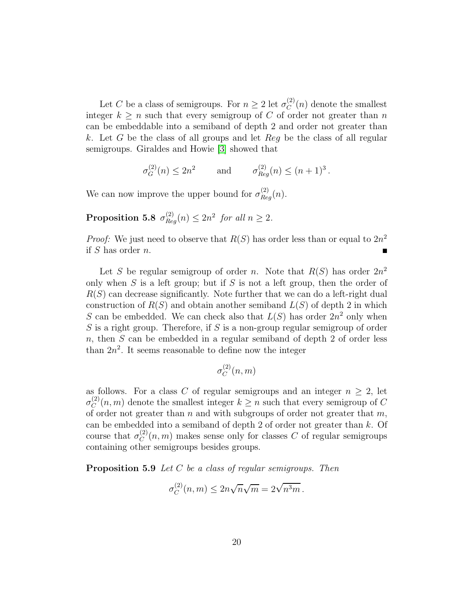Let C be a class of semigroups. For  $n \geq 2$  let  $\sigma_C^{(2)}$  $C^{(2)}(n)$  denote the smallest integer  $k \geq n$  such that every semigroup of C of order not greater than n can be embeddable into a semiband of depth 2 and order not greater than k. Let G be the class of all groups and let  $Reg$  be the class of all regular semigroups. Giraldes and Howie [\[3\]](#page-20-3) showed that

$$
\sigma_G^{(2)}(n) \le 2n^2
$$
 and  $\sigma_{Reg}^{(2)}(n) \le (n+1)^3$ .

We can now improve the upper bound for  $\sigma_{Reg}^{(2)}(n)$ .

**Proposition 5.8** 
$$
\sigma_{Reg}^{(2)}(n) \leq 2n^2
$$
 for all  $n \geq 2$ .

*Proof:* We just need to observe that  $R(S)$  has order less than or equal to  $2n^2$ if S has order n.

Let S be regular semigroup of order n. Note that  $R(S)$  has order  $2n^2$ only when  $S$  is a left group; but if  $S$  is not a left group, then the order of  $R(S)$  can decrease significantly. Note further that we can do a left-right dual construction of  $R(S)$  and obtain another semiband  $L(S)$  of depth 2 in which S can be embedded. We can check also that  $L(S)$  has order  $2n^2$  only when  $S$  is a right group. Therefore, if  $S$  is a non-group regular semigroup of order  $n$ , then  $S$  can be embedded in a regular semiband of depth 2 of order less than  $2n^2$ . It seems reasonable to define now the integer

$$
\sigma_C^{(2)}(n,m)
$$

as follows. For a class C of regular semigroups and an integer  $n \geq 2$ , let  $\sigma_C^{(2)}$  $C^{(2)}(n,m)$  denote the smallest integer  $k \geq n$  such that every semigroup of C of order not greater than n and with subgroups of order not greater that  $m$ , can be embedded into a semiband of depth 2 of order not greater than  $k$ . Of course that  $\sigma_C^{(2)}$  $C^{(2)}(n,m)$  makes sense only for classes C of regular semigroups containing other semigroups besides groups.

Proposition 5.9 *Let* C *be a class of regular semigroups. Then*

$$
\sigma_C^{(2)}(n,m) \le 2n\sqrt{n}\sqrt{m} = 2\sqrt{n^3m}.
$$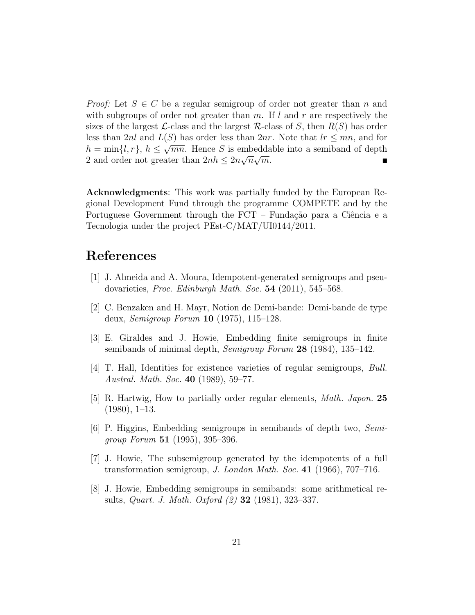*Proof:* Let  $S \in C$  be a regular semigroup of order not greater than n and with subgroups of order not greater than  $m$ . If l and r are respectively the sizes of the largest  $\mathcal{L}$ -class and the largest  $\mathcal{R}$ -class of S, then  $R(S)$  has order less than 2nl and  $L(S)$  has order less than 2nr. Note that  $lr \leq mn$ , and for  $h = \min\{l, r\}, h \leq \sqrt{\overline{mn}}.$  Hence S is embeddable into a semiband of depth 2 and order not greater than  $2nh \leq 2n\sqrt{n}\sqrt{2}$  $\overline{m}$ .

Acknowledgments: This work was partially funded by the European Regional Development Fund through the programme COMPETE and by the Portuguese Government through the  $\text{FCT}$  – Fundação para a Ciência e a Tecnologia under the project PEst-C/MAT/UI0144/2011.

## <span id="page-20-5"></span>References

- <span id="page-20-1"></span>[1] J. Almeida and A. Moura, Idempotent-generated semigroups and pseudovarieties, *Proc. Edinburgh Math. Soc.* 54 (2011), 545–568.
- <span id="page-20-3"></span>[2] C. Benzaken and H. Mayr, Notion de Demi-bande: Demi-bande de type deux, *Semigroup Forum* 10 (1975), 115–128.
- <span id="page-20-7"></span>[3] E. Giraldes and J. Howie, Embedding finite semigroups in finite semibands of minimal depth, *Semigroup Forum* 28 (1984), 135–142.
- <span id="page-20-6"></span>[4] T. Hall, Identities for existence varieties of regular semigroups, *Bull. Austral. Math. Soc.* 40 (1989), 59–77.
- <span id="page-20-4"></span>[5] R. Hartwig, How to partially order regular elements, *Math. Japon.* 25  $(1980), 1-13.$
- [6] P. Higgins, Embedding semigroups in semibands of depth two, *Semigroup Forum* 51 (1995), 395–396.
- <span id="page-20-0"></span>[7] J. Howie, The subsemigroup generated by the idempotents of a full transformation semigroup, *J. London Math. Soc.* 41 (1966), 707–716.
- <span id="page-20-2"></span>[8] J. Howie, Embedding semigroups in semibands: some arithmetical results, *Quart. J. Math. Oxford (2)* 32 (1981), 323–337.